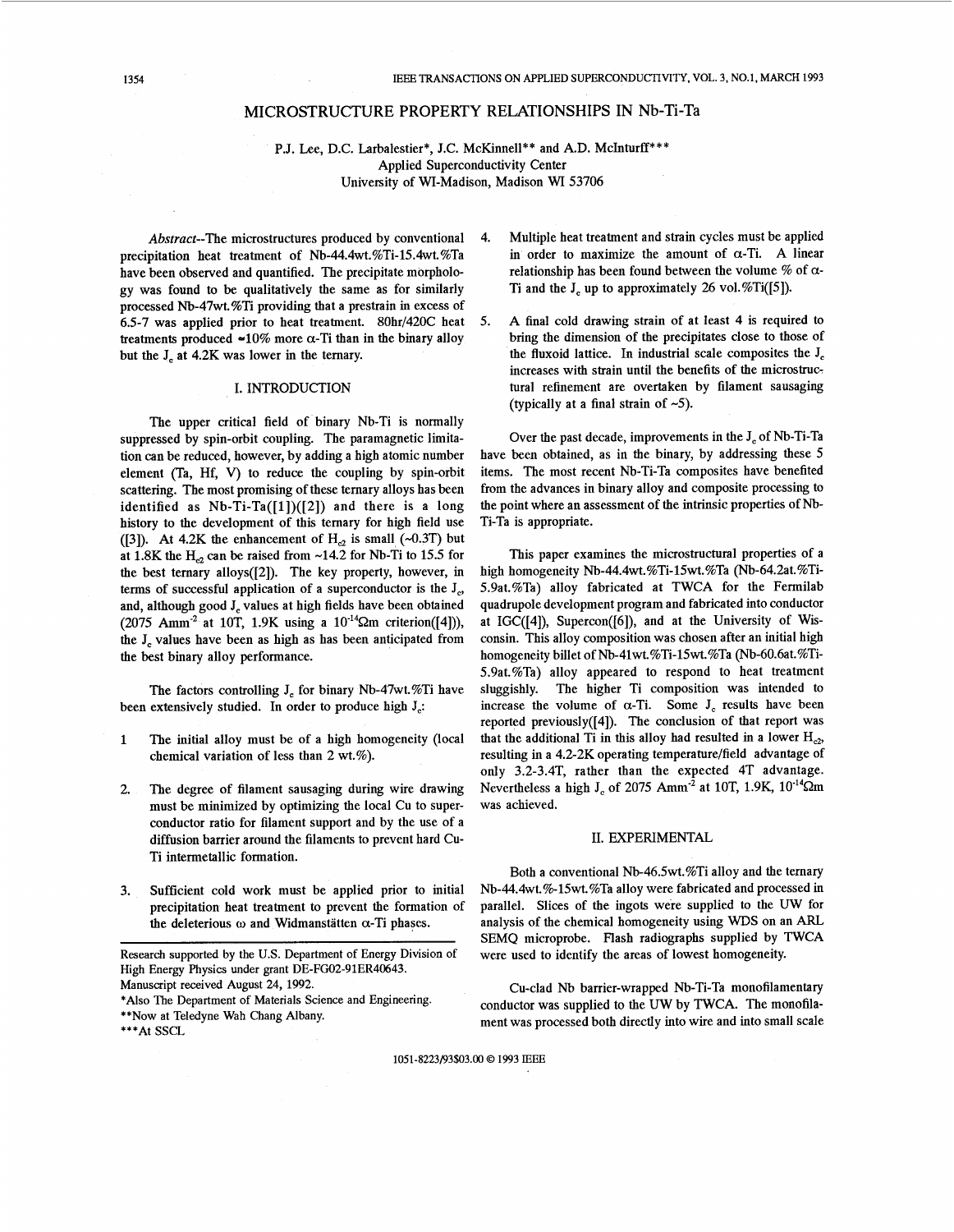# MICROSTRUCTURE PROPERTY RELATIONSHIPS IN Nb-Ti-Ta

P.J. Lee, D.C. Larbalestier\*, J.C. McKinnell\*\* and A.D. McInturff\*\*\* Applied Superconductivity Center University of WI-Madison, Madison WI 53706

Abstract-The microstructures produced by conventional precipitation heat treatment of Nb-44.4wt.%Ti-15.4wt.%Ta have been observed and quantified. The precipitate morphology was found to be qualitatively the same as for similarly processed Nb-47wt.%Ti providing that a prestrain in excess of 6.5-7 was applied prior to heat treatment. 80hr/420C heat treatments produced  $-10\%$  more  $\alpha$ -Ti than in the binary alloy but the J<sub>c</sub> at 4.2K was lower in the ternary.

# I. INTRODUCTION

The upper critical field of binary Nb-Ti is normally suppressed by spin-orbit coupling. The paramagnetic limitation can be reduced, however, by adding a high atomic number element (Ta, Hf, V) to reduce the coupling by spin-orbit scattering. The most promising of these ternary alloys has been identified as  $Nb-Ti-Ta([1])([2])$  and there is a long history to the development of this temary for high field use ([3]). At 4.2K the enhancement of  $H_{c2}$  is small (~0.3T) but at 1.8K the  $H_{c2}$  can be raised from ~14.2 for Nb-Ti to 15.5 for the best ternary alloys([2]). The key property, however, in terms of successful application of a superconductor is the  $J_c$ , and, although good J<sub>c</sub> values at high fields have been obtained (2075 Amm<sup>-2</sup> at 10T, 1.9K using a  $10^{-14}$  $\Omega$ m criterion([4])), the J, values have been as high as has been anticipated from the best binary alloy performance.

The factors controlling J, for binary Nb-47wt.%Ti have been extensively studied. In order to produce high  $J_c$ :

- **1** The initial alloy must be of a high homogeneity (local chemical variation of less than 2 wt.%).
- 2. The degree of filament sausaging during wire drawing must be minimized by optimizing the local Cu to superconductor ratio for filament support and by the use of a diffusion barrier around the filaments to prevent hard Cu-Ti intermetallic formation.
- 3. Sufficient cold work must be applied prior to initial precipitation heat treatment to prevent the formation of the deleterious  $\omega$  and Widmanstätten  $\alpha$ -Ti phases.

Research supported by the U.S. Department of Energy Division of High Energy Physics under grant DE-FG02-91ER40643. Manuscript received August 24, 1992. *\*Also* The Department of Materials Science and Engineering. **\*\*Now** at Teledyne Wah Chang Albany.

- 4. Multiple heat treatment and strain cycles must be applied in order to maximize the amount of  $\alpha$ -Ti. A linear relationship has been found between the volume  $\%$  of  $\alpha$ -Ti and the  $J_c$  up to approximately 26 vol. %Ti([5]).
- *5.* A final cold drawing strain of at least 4 is required to bring the dimension of the precipitates close to those of the fluxoid lattice. In industrial scale composites the  $J_c$ increases with strain until the benefits of the microstruc: tural refinement are overtaken by filament sausaging (typically at a final strain of  $-5$ ).

Over the past decade, improvements in the J, of Nb-Ti-Ta have been obtained, as in the binary, by addressing these 5 items. The most recent Nb-Ti-Ta composites have benefited from the advances in binary alloy and composite processing to the point where an assessment of the intrinsic properties of **Nb-** Ti-Ta is appropriate.

This paper examines the microstructural properties of a high homogeneity Nb-44.4wt.%Ti-l5wt.%Ta (Nb-64.2at.%Ti-5.9at.%Ta) alloy fabricated at TWCA for the Fermilab quadrupole development program and fabricated into conductor at IGC([4]), Supercon([6]), and at the University of Wisconsin. This alloy composition was chosen after an initial high homogeneity billet of Nb-41wt.%Ti-15wt.%Ta (Nb-60.6at.%Ti-5.9at.%Ta) alloy appeared to respond to heat treatment sluggishly. The higher Ti composition was intended to increase the volume of  $\alpha$ -Ti. Some  $J_c$  results have been reported previously([4]). The conclusion of that report was that the additional Ti in this alloy had resulted in a lower  $H_{c2}$ , resulting in a 4.2-2K operating temperature/field advantage of only 3.2-3.4T, rather than the expected 4T advantage. Nevertheless a high J<sub>c</sub> of 2075 Amm<sup>-2</sup> at 10T, 1.9K, 10<sup>-14</sup> $\Omega$ m was achieved.

#### II. EXPERIMENTAL

Both a conventional Nb-46.5wt.%Ti alloy and the ternary Nb-44.4wt.%-15wt.%Ta alloy were fabricated and processed in parallel. Slices of the ingots were supplied to the UW for analysis of the chemical homogeneity using WDS on an ARL SEMQ microprobe. Flash radiographs supplied by TWCA were used to identify the areas of lowest homogeneity.

Cu-clad **Nb** barrier-wrapped Nb-Ti-Ta monofilamentary conductor was supplied to the UW by TWCA. The monofilament was processed both directly into wire and into small scale

1051-8223/93\$03.00 *0* 1993 IEEE

<sup>\*\*\*</sup>AtSSCL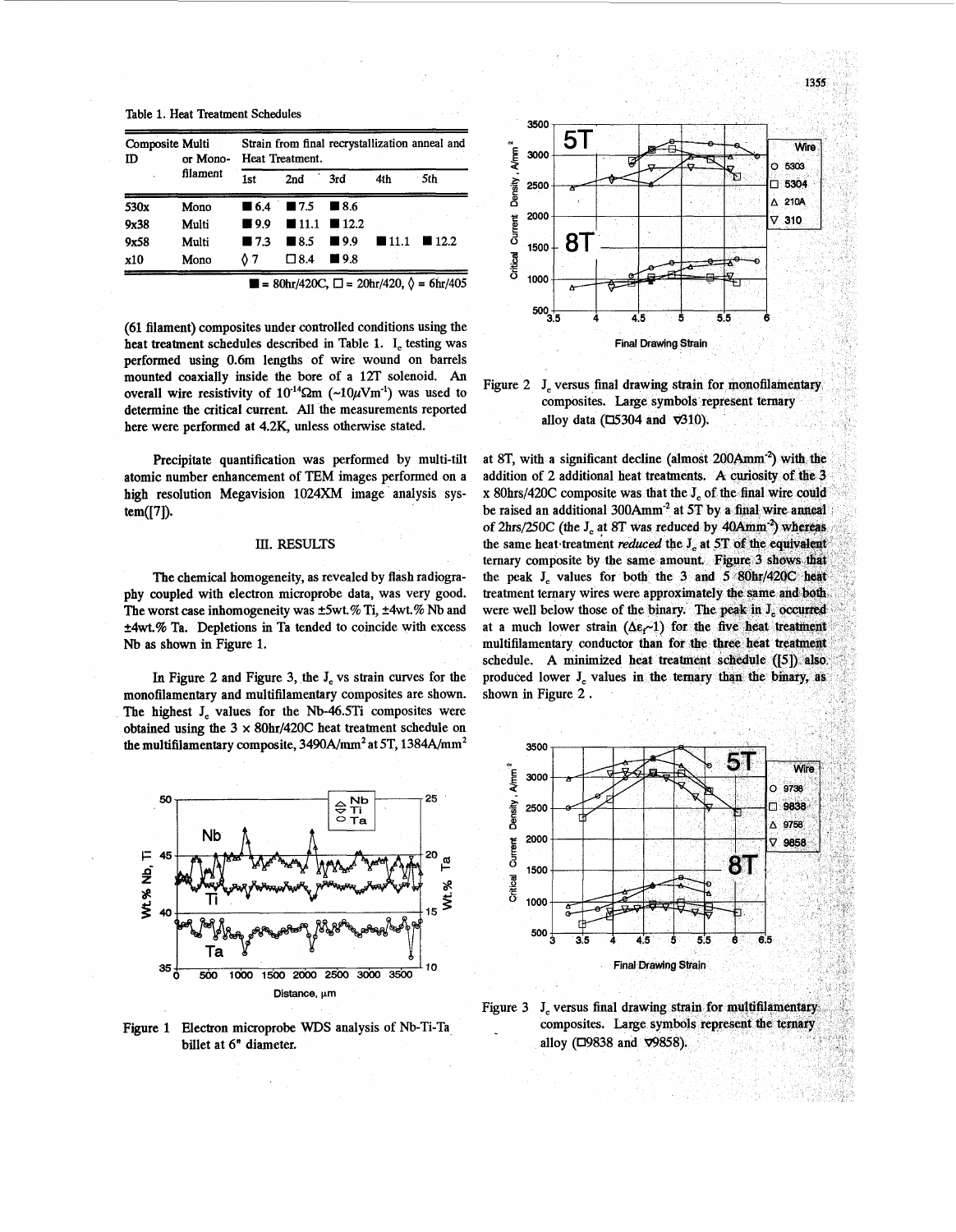1355

| Table 1. Heat Treatment Schedules |  |
|-----------------------------------|--|
|-----------------------------------|--|

| Composite Multi<br>ID<br>or Mono- |          | Strain from final recrystallization anneal and<br>Heat Treatment. |                    |                    |                     |                     |  |
|-----------------------------------|----------|-------------------------------------------------------------------|--------------------|--------------------|---------------------|---------------------|--|
|                                   | filament | 1st                                                               | 2nd                | 3rd                | 4th                 | 5th                 |  |
| 530x                              | Mono     | $\blacksquare$ 6.4                                                | $\blacksquare$ 7.5 | $\blacksquare$ 8.6 |                     |                     |  |
| 9x38                              | Multi    | <b>M</b> 9.9                                                      |                    | $11.1$ 12.2        |                     |                     |  |
| 9x58                              | Multi    | $\blacksquare$ 7.3                                                | $\blacksquare$ 8.5 | $\blacksquare$ 9.9 | $\blacksquare$ 11.1 | $\blacksquare$ 12.2 |  |
| x10                               | Mono     | 07                                                                | $\square$ 8.4      | $\blacksquare$ 9.8 |                     |                     |  |

 $80$ hr/420C,  $\Box$  = 20hr/420,  $\Diamond$  = 6hr/405

**(61**filament) composites under controlled conditions using the heat treatment schedules described in Table 1. I, testing was performed using 0.6m lengths of wire wound on barrels mounted coaxially inside the bore of a 12T solenoid. *An* overall wire resistivity of  $10^{-14}$  $\Omega$ m (~ $10\mu$ Vm<sup>-1</sup>) was used to determine the critical current. All the measurements reported here were performed at 4.2K, unless otherwise stated.

Precipitate quantification was performed by multi-tilt atomic number enhancement of **TEM** images performed on a high resolution Megavision 1024XM image analysis system([71).

#### III. RESULTS

The chemical homogeneity, as revealed by flash radiography coupled with electron microprobe data, was very good. The worst case inhomogeneity was  $\pm 5$ wt.% Ti,  $\pm 4$ wt.% Nb and **+4wt.%** Ta. Depletions in Ta tended to coincide with excess **Nb** as shown in Figure **1.**

In Figure 2 and Figure 3, the J, vs strain curves for the monofilamentary and multifilamentary composites are shown. The highest J, values for the Nb-46.5Ti composites were obtained using the 3 **x** 8Ohr/42OC heat treatment schedule on the multifilamentary composite,  $3490$ A/mm<sup>2</sup> at 5T,  $1384$ A/mm<sup>2</sup>



Figure 1 Electron microprobe **WDS** analysis of Nb-Ti-Ta billet at 6" diameter.



Figure 2 J, versus final drawing strain for monofilamentary composites. Large symbols represent ternary alloy data ( $\Box$ 5304 and  $\nabla$ 310).

at 8T, with a significant decline (almost  $200Amm^{-2}$ ) with the addition of 2 additional heat treatments. A curiosity of the 3 x 80hrs/420C composite was that the J of the final wire could be raised an additional 300Amm<sup>-2</sup> at 5T by a final wire anneal of 2hrs/25OC (the **J,** at 8 the same heat treatment reduced the J at 5T of the equivalent ternary composite by the same amount. Figure 3 shows that the peak  $J_c$  values for both the 3 and 5 80hr/420C heat treatment ternary wires were approximately the same and both were well below those of the binary. The peak in J<sub>c</sub> occurred at a much lower strain ( $\Delta \epsilon \sim 1$ ) for the five heat treatment multifilamentary conductor than for the three heat treatment schedule. A minimized heat treatment schedule ([5]) also. produced lower J, values in the ternary than the binary, as shown in Figure 2 .



Figure 3 J<sub>c</sub> versus final drawing strain for multifilamentary composites. Large symbols represent the ternary alloy (□9838 and v9858).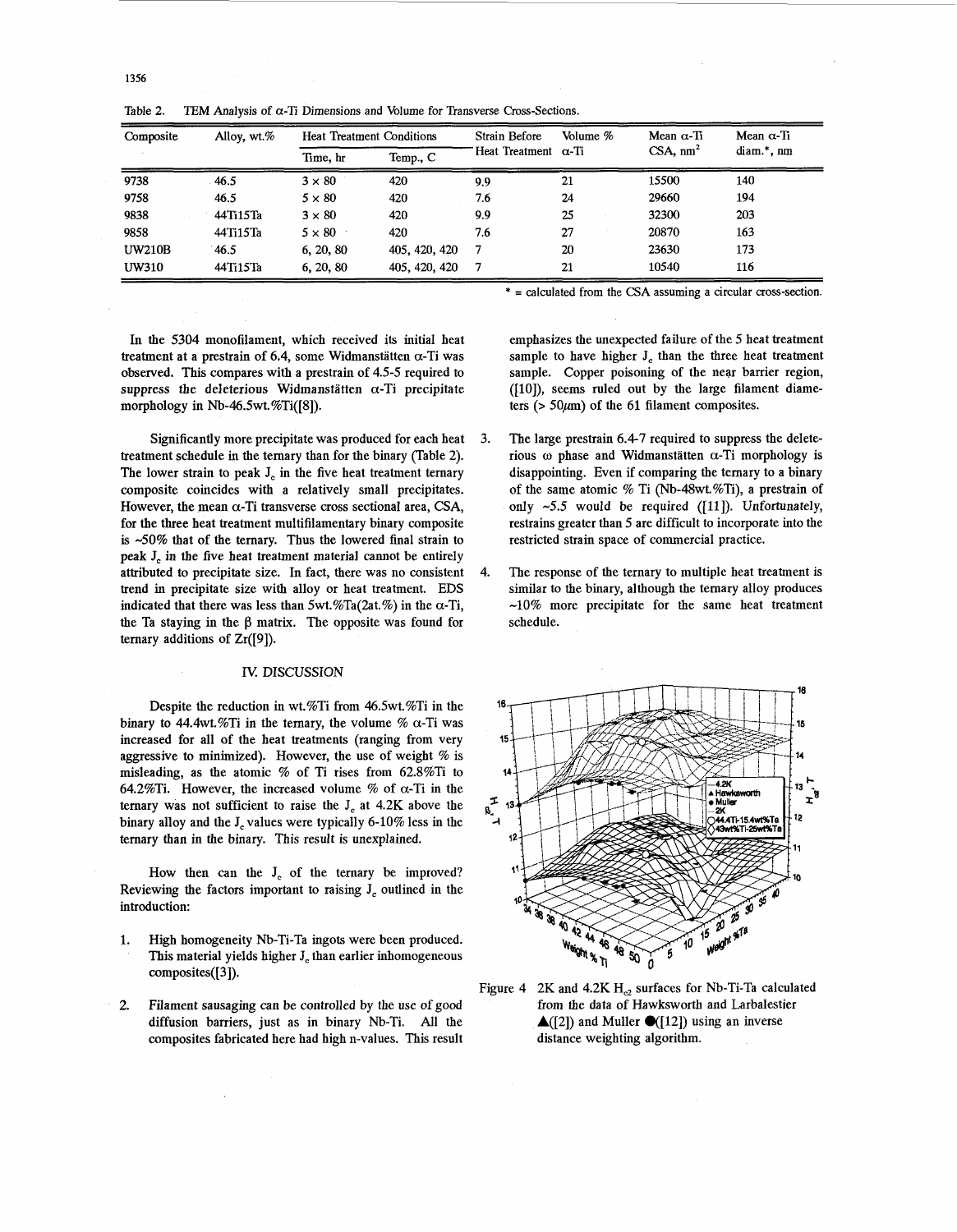| Composite     | Alloy, $wt$ .% | <b>Heat Treatment Conditions</b> |               | <b>Strain Before</b>        | Volume % | Mean $\alpha$ -Ti | Mean $\alpha$ -Ti |
|---------------|----------------|----------------------------------|---------------|-----------------------------|----------|-------------------|-------------------|
|               |                | Time, hr                         | Temp., C      | Heat Treatment $\alpha$ -Ti |          | $CSA$ , $nm2$     | diam.*, nm        |
| 9738          | 46.5           | $3 \times 80$                    | 420           | 9.9                         | 21       | 15500             | 140               |
| 9758          | 46.5           | $5 \times 80$                    | 420           | 7.6                         | 24       | 29660             | 194               |
| 9838          | 44Ti15Ta       | $3 \times 80$                    | 420           | 9.9                         | 25       | 32300             | 203               |
| 9858          | 44Ti15Ta       | $5 \times 80$                    | 420           | 7.6                         | 27       | 20870             | 163               |
| <b>UW210B</b> | 46.5           | 6, 20, 80                        | 405, 420, 420 | 7                           | 20       | 23630             | 173               |
| <b>UW310</b>  | 44Ti15Ta       | 6, 20, 80                        | 405, 420, 420 | 7                           | 21       | 10540             | 116               |

Table 2. **TEM** Analysis of  $\alpha$ -Ti Dimensions and Volume for Transverse Cross-Sections.

\* = calculated from the **CSA** assuming a circular cross-section.

In the 5304 monofilament, which received its initial heat treatment at a prestrain of 6.4, some Widmanstätten  $\alpha$ -Ti was observed. This compares with a prestrain of 4.5-5 required to suppress the deleterious Widmanstätten  $\alpha$ -Ti precipitate morphology in Nb-46.5wt.%Ti([8]).

Significantly more precipitate was produced for each heat treatment schedule in the ternary than for the binary (Table 2). The lower strain to peak J, in the five heat treatment ternary composite coincides with a relatively small precipitates. However, the mean  $\alpha$ -Ti transverse cross sectional area, CSA, for the three heat treatment multifilamentary binary composite is -50% that of the ternary. Thus the lowered final strain to peak **J,** in the five heat treatment material cannot be entirely attributed to precipitate size. In fact, there was no consistent trend in precipitate size with alloy or heat treatment. EDS indicated that there was less than  $5wt \mathcal{N}Ta(2at \mathcal{N})$  in the  $\alpha$ -Ti, the Ta staying in the  $\beta$  matrix. The opposite was found for ternary additions of Zr([9]).

### IV. DISCUSSION

Despite the reduction in wt.%Ti from 46.5wt.%Ti in the binary to 44.4wt.%Ti in the ternary, the volume %  $\alpha$ -Ti was increased for all of the heat treatments (ranging from very aggressive to minimized). However, the use of weight  $%$  is misleading, as the atomic % of Ti rises from 62.8%Ti to 64.2%Ti. However, the increased volume % of  $\alpha$ -Ti in the ternary was not sufficient *to* raise the J, at 4.2K above the binary alloy and the J, values were typically 6-10% less in the ternary than in the binary. This result is unexplained.

How then can the J<sub>c</sub> of the ternary be improved? Reviewing the factors important to raising  $J_c$  outlined in the introduction:

- 1. High homogeneity Nb-Ti-Ta ingots were been produced. This material yields higher **J,** than earlier inhomogeneous composites([3]).
- **2.** Filament sausaging can be controlled by the use of good diffusion barriers, just as in binary Nb-Ti. All the composites fabricated here had high n-values. This result

emphasizes the unexpected failure of the 5 heat treatment sample to have higher J, than the three heat treatment sample. Copper poisoning of the near barrier region, ([10]), seems ruled out by the large filament diameters  $(50 \mu m)$  of the 61 filament composites.

- $\mathbf{3}$ The large prestrain 6.47 required to suppress the deleterious  $\omega$  phase and Widmanstätten  $\alpha$ -Ti morphology is disappointing. Even if comparing the ternary to a binary of the same atomic % Ti (Nb-48wt.%Ti), a prestrain of only  $\sim$  5.5 would be required ([11]). Unfortunately, restrains greater than 5 are difficult to incorporate into the restricted strain space of commercial practice.
- $\boldsymbol{\Delta}$ The response of the ternary to multiple heat treatment is similar to the binary, although the ternary alloy produces  $-10\%$  more precipitate for the same heat treatment schedule.



Figure 4 2K and  $4.2K H_{c2}$  surfaces for Nb-Ti-Ta calculated from the data of Hawksworth and Larbalestier  $\triangle$ ([2]) and Muller  $\triangle$ ([12]) using an inverse distance weighting algorithm.